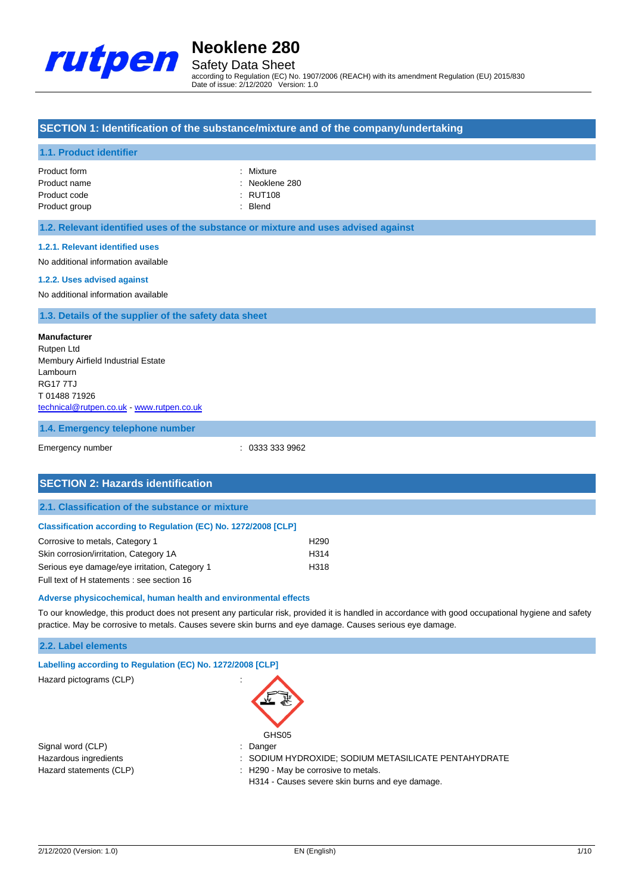

Safety Data Sheet according to Regulation (EC) No. 1907/2006 (REACH) with its amendment Regulation (EU) 2015/830 Date of issue: 2/12/2020 Version: 1.0

## **SECTION 1: Identification of the substance/mixture and of the company/undertaking**

## **1.1. Product identifier**

| Product form  |  |
|---------------|--|
| Product name  |  |
| Product code  |  |
| Product group |  |

· Mixture

: Neoklene 280  $\cdot$  RUT108

: Blend

## **1.2. Relevant identified uses of the substance or mixture and uses advised against**

#### **1.2.1. Relevant identified uses**

No additional information available

#### **1.2.2. Uses advised against**

No additional information available

### **1.3. Details of the supplier of the safety data sheet**

## **Manufacturer** Rutpen Ltd Membury Airfield Industrial Estate Lambourn RG17 7TJ T 01488 71926 [technical@rutpen.co.uk](mailto:technical@rutpen.co.uk) - <www.rutpen.co.uk>

**1.4. Emergency telephone number**

Emergency number : 0333 333 9962

| <b>SECTION 2: Hazards identification</b>                        |                  |  |
|-----------------------------------------------------------------|------------------|--|
| 2.1. Classification of the substance or mixture                 |                  |  |
| Classification according to Regulation (EC) No. 1272/2008 [CLP] |                  |  |
| Corrosive to metals, Category 1                                 | H <sub>290</sub> |  |
| Skin corrosion/irritation, Category 1A                          | H314             |  |
| Serious eye damage/eye irritation, Category 1                   | H318             |  |

Full text of H statements : see section 16

### **Adverse physicochemical, human health and environmental effects**

To our knowledge, this product does not present any particular risk, provided it is handled in accordance with good occupational hygiene and safety practice. May be corrosive to metals. Causes severe skin burns and eye damage. Causes serious eye damage.

### **2.2. Label elements**

| Labelling according to Regulation (EC) No. 1272/2008 [CLP] |                                                      |
|------------------------------------------------------------|------------------------------------------------------|
| Hazard pictograms (CLP)                                    | GHS05                                                |
| Signal word (CLP)                                          | Danger                                               |
| Hazardous ingredients                                      | : SODIUM HYDROXIDE; SODIUM METASILICATE PENTAHYDRATE |
| Hazard statements (CLP)                                    | : H290 - May be corrosive to metals.                 |
|                                                            | H314 - Causes severe skin burns and eye damage.      |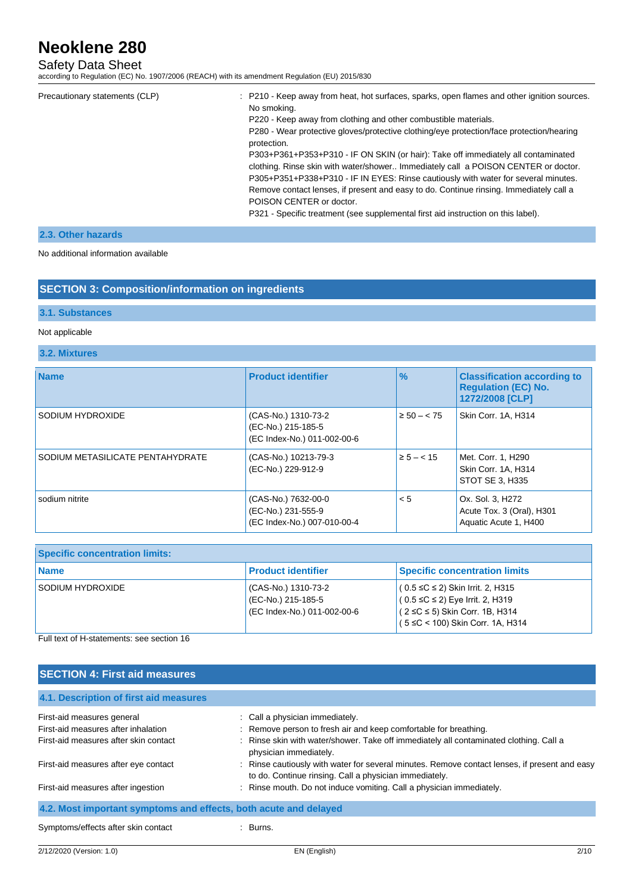# Safety Data Sheet

according to Regulation (EC) No. 1907/2006 (REACH) with its amendment Regulation (EU) 2015/830

| Precautionary statements (CLP) | : P210 - Keep away from heat, hot surfaces, sparks, open flames and other ignition sources.<br>No smoking.<br>P220 - Keep away from clothing and other combustible materials.<br>P280 - Wear protective gloves/protective clothing/eye protection/face protection/hearing    |
|--------------------------------|------------------------------------------------------------------------------------------------------------------------------------------------------------------------------------------------------------------------------------------------------------------------------|
|                                | protection.<br>P303+P361+P353+P310 - IF ON SKIN (or hair): Take off immediately all contaminated<br>clothing. Rinse skin with water/shower Immediately call a POISON CENTER or doctor.<br>P305+P351+P338+P310 - IF IN EYES: Rinse cautiously with water for several minutes. |
|                                | Remove contact lenses, if present and easy to do. Continue rinsing. Immediately call a<br>POISON CENTER or doctor.<br>P321 - Specific treatment (see supplemental first aid instruction on this label).                                                                      |

## **2.3. Other hazards**

No additional information available

## **SECTION 3: Composition/information on ingredients**

## **3.1. Substances**

## Not applicable

## **3.2. Mixtures**

| <b>Name</b>                      | <b>Product identifier</b>                                                | $\frac{9}{6}$   | <b>Classification according to</b><br><b>Requlation (EC) No.</b><br>1272/2008 [CLP] |
|----------------------------------|--------------------------------------------------------------------------|-----------------|-------------------------------------------------------------------------------------|
| SODIUM HYDROXIDE                 | (CAS-No.) 1310-73-2<br>(EC-No.) 215-185-5<br>(EC Index-No.) 011-002-00-6 | $\ge 50 - < 75$ | Skin Corr. 1A, H314                                                                 |
| SODIUM METASILICATE PENTAHYDRATE | (CAS-No.) 10213-79-3<br>(EC-No.) 229-912-9                               | $\ge 5 - < 15$  | Met. Corr. 1, H290<br>Skin Corr. 1A, H314<br>STOT SE 3. H335                        |
| sodium nitrite                   | (CAS-No.) 7632-00-0<br>(EC-No.) 231-555-9<br>(EC Index-No.) 007-010-00-4 | < 5             | Ox. Sol. 3, H272<br>Acute Tox. 3 (Oral), H301<br>Aquatic Acute 1, H400              |

| <b>Specific concentration limits:</b> |                                                                          |                                                                                                                                                               |
|---------------------------------------|--------------------------------------------------------------------------|---------------------------------------------------------------------------------------------------------------------------------------------------------------|
| <b>Name</b>                           | l Product identifier                                                     | <b>Specific concentration limits</b>                                                                                                                          |
| SODIUM HYDROXIDE                      | (CAS-No.) 1310-73-2<br>(EC-No.) 215-185-5<br>(EC Index-No.) 011-002-00-6 | $(0.5 ≤ C ≤ 2)$ Skin Irrit. 2, H315<br>$(0.5 ≤ C ≤ 2)$ Eye Irrit. 2, H319<br>$(2 \leq C \leq 5)$ Skin Corr. 1B, H314<br>$(5 \le C < 100)$ Skin Corr. 1A, H314 |

Full text of H-statements: see section 16

| <b>SECTION 4: First aid measures</b>                             |                                                                                                                                                         |
|------------------------------------------------------------------|---------------------------------------------------------------------------------------------------------------------------------------------------------|
| 4.1. Description of first aid measures                           |                                                                                                                                                         |
| First-aid measures general                                       | : Call a physician immediately.                                                                                                                         |
| First-aid measures after inhalation                              | : Remove person to fresh air and keep comfortable for breathing.                                                                                        |
| First-aid measures after skin contact                            | : Rinse skin with water/shower. Take off immediately all contaminated clothing. Call a<br>physician immediately.                                        |
| First-aid measures after eye contact                             | : Rinse cautiously with water for several minutes. Remove contact lenses, if present and easy<br>to do. Continue rinsing. Call a physician immediately. |
| First-aid measures after ingestion                               | : Rinse mouth. Do not induce vomiting. Call a physician immediately.                                                                                    |
| 4.2. Most important symptoms and effects, both acute and delayed |                                                                                                                                                         |
| Symptoms/effects after skin contact                              | : Burns.                                                                                                                                                |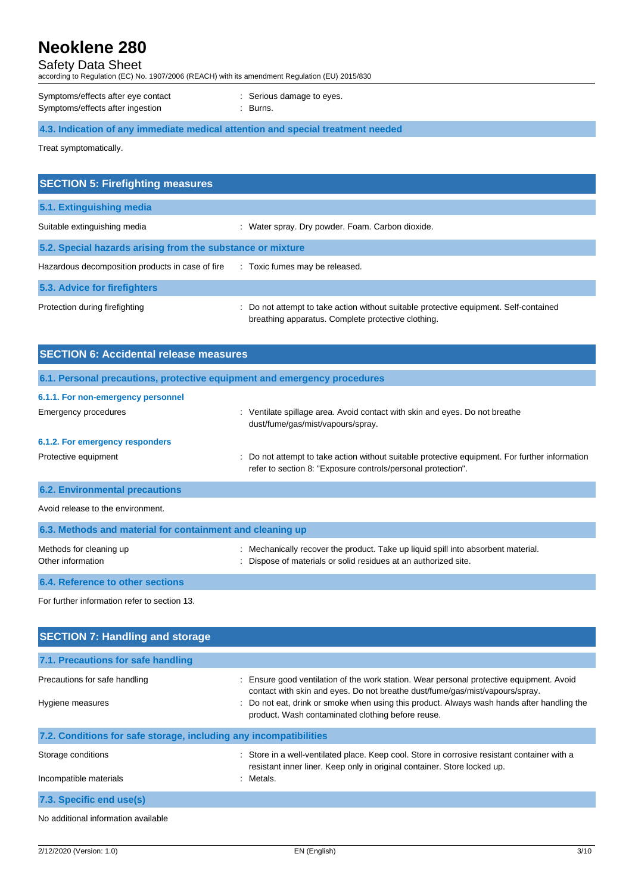# Safety Data Sheet

according to Regulation (EC) No. 1907/2006 (REACH) with its amendment Regulation (EU) 2015/830

| Symptoms/effects after eye contact | : Serious |
|------------------------------------|-----------|
| Symptoms/effects after ingestion   | : Burns.  |

: Serious damage to eyes.

**4.3. Indication of any immediate medical attention and special treatment needed**

Treat symptomatically.

| <b>SECTION 5: Firefighting measures</b>                    |                                                                                                                                             |
|------------------------------------------------------------|---------------------------------------------------------------------------------------------------------------------------------------------|
| 5.1. Extinguishing media                                   |                                                                                                                                             |
| Suitable extinguishing media                               | : Water spray. Dry powder. Foam. Carbon dioxide.                                                                                            |
| 5.2. Special hazards arising from the substance or mixture |                                                                                                                                             |
| Hazardous decomposition products in case of fire           | : Toxic fumes may be released.                                                                                                              |
| 5.3. Advice for firefighters                               |                                                                                                                                             |
| Protection during firefighting                             | : Do not attempt to take action without suitable protective equipment. Self-contained<br>breathing apparatus. Complete protective clothing. |

| <b>SECTION 6: Accidental release measures</b>             |                                                                                                                                                              |  |  |  |
|-----------------------------------------------------------|--------------------------------------------------------------------------------------------------------------------------------------------------------------|--|--|--|
|                                                           | 6.1. Personal precautions, protective equipment and emergency procedures                                                                                     |  |  |  |
| 6.1.1. For non-emergency personnel                        |                                                                                                                                                              |  |  |  |
| Emergency procedures                                      | : Ventilate spillage area. Avoid contact with skin and eyes. Do not breathe<br>dust/fume/gas/mist/vapours/spray.                                             |  |  |  |
| 6.1.2. For emergency responders                           |                                                                                                                                                              |  |  |  |
| Protective equipment                                      | Do not attempt to take action without suitable protective equipment. For further information<br>refer to section 8: "Exposure controls/personal protection". |  |  |  |
| <b>6.2. Environmental precautions</b>                     |                                                                                                                                                              |  |  |  |
| Avoid release to the environment.                         |                                                                                                                                                              |  |  |  |
| 6.3. Methods and material for containment and cleaning up |                                                                                                                                                              |  |  |  |
| Methods for cleaning up<br>Other information              | Mechanically recover the product. Take up liquid spill into absorbent material.<br>Dispose of materials or solid residues at an authorized site.             |  |  |  |
| 6.4. Reference to other sections                          |                                                                                                                                                              |  |  |  |
| For further information refer to section 13.              |                                                                                                                                                              |  |  |  |

| <b>SECTION 7: Handling and storage</b>                            |                                                                                                                                                                                                                                                                                                                           |
|-------------------------------------------------------------------|---------------------------------------------------------------------------------------------------------------------------------------------------------------------------------------------------------------------------------------------------------------------------------------------------------------------------|
| 7.1. Precautions for safe handling                                |                                                                                                                                                                                                                                                                                                                           |
| Precautions for safe handling<br>Hygiene measures                 | Ensure good ventilation of the work station. Wear personal protective equipment. Avoid<br>contact with skin and eyes. Do not breathe dust/fume/gas/mist/vapours/spray.<br>: Do not eat, drink or smoke when using this product. Always wash hands after handling the<br>product. Wash contaminated clothing before reuse. |
| 7.2. Conditions for safe storage, including any incompatibilities |                                                                                                                                                                                                                                                                                                                           |
| Storage conditions<br>Incompatible materials                      | : Store in a well-ventilated place. Keep cool. Store in corrosive resistant container with a<br>resistant inner liner. Keep only in original container. Store locked up.<br>: Metals.                                                                                                                                     |
| 7.3. Specific end use(s)                                          |                                                                                                                                                                                                                                                                                                                           |
| No additional information available                               |                                                                                                                                                                                                                                                                                                                           |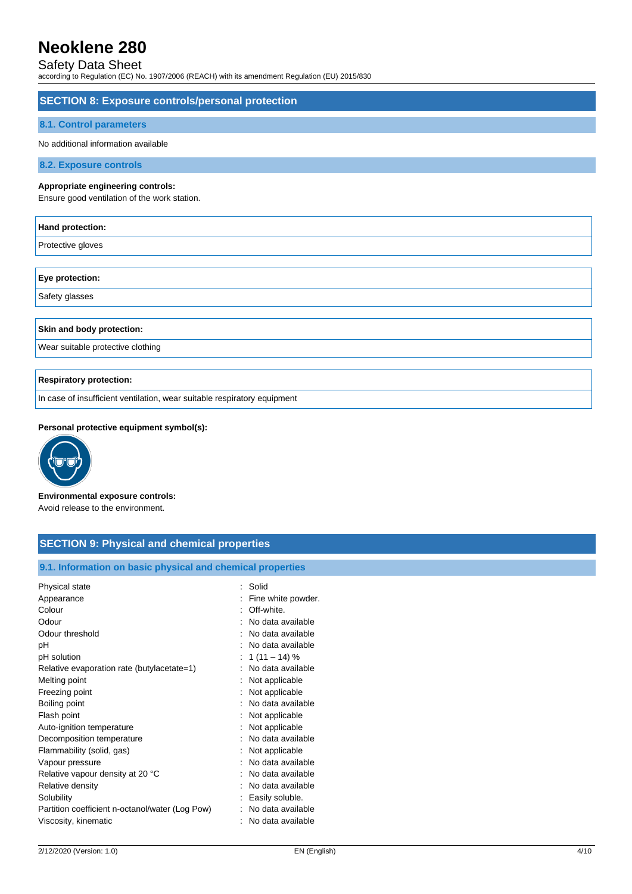## Safety Data Sheet

according to Regulation (EC) No. 1907/2006 (REACH) with its amendment Regulation (EU) 2015/830

## **SECTION 8: Exposure controls/personal protection**

## **8.1. Control parameters**

No additional information available

**8.2. Exposure controls**

### **Appropriate engineering controls:**

Ensure good ventilation of the work station.

| Hand protection:                                                         |
|--------------------------------------------------------------------------|
| Protective gloves                                                        |
|                                                                          |
| Eye protection:                                                          |
| Safety glasses                                                           |
|                                                                          |
| Skin and body protection:                                                |
| Wear suitable protective clothing                                        |
|                                                                          |
| <b>Respiratory protection:</b>                                           |
| In case of insufficient ventilation, wear suitable respiratory equipment |

### **Personal protective equipment symbol(s):**



**Environmental exposure controls:** Avoid release to the environment.

# **SECTION 9: Physical and chemical properties**

**9.1. Information on basic physical and chemical properties**

| Physical state                                  | : Solid             |
|-------------------------------------------------|---------------------|
| Appearance                                      | Fine white powder.  |
| Colour                                          | : Off-white.        |
| Odour                                           | No data available   |
| Odour threshold                                 | : No data available |
| рH                                              | : No data available |
| pH solution                                     | : 1 (11 – 14) $%$   |
| Relative evaporation rate (butylacetate=1)      | : No data available |
| Melting point                                   | : Not applicable    |
| Freezing point                                  | : Not applicable    |
| Boiling point                                   | : No data available |
| Flash point                                     | Not applicable      |
| Auto-ignition temperature                       | : Not applicable    |
| Decomposition temperature                       | No data available   |
| Flammability (solid, gas)                       | Not applicable      |
| Vapour pressure                                 | : No data available |
| Relative vapour density at 20 °C                | No data available   |
| Relative density                                | No data available   |
| Solubility                                      | Easily soluble.     |
| Partition coefficient n-octanol/water (Log Pow) | No data available   |
| Viscosity, kinematic                            | No data available   |
|                                                 |                     |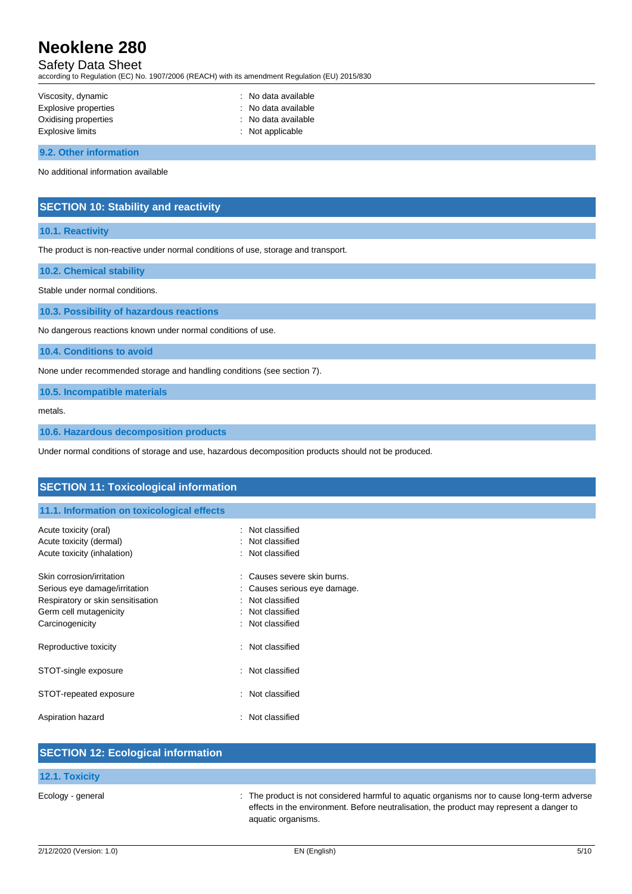# Safety Data Sheet

according to Regulation (EC) No. 1907/2006 (REACH) with its amendment Regulation (EU) 2015/830

| Viscosity, dynamic          | : No data available |
|-----------------------------|---------------------|
| <b>Explosive properties</b> | : No data available |
| Oxidising properties        | : No data available |
| Explosive limits            | : Not applicable    |

**9.2. Other information**

No additional information available

## **SECTION 10: Stability and reactivity**

## **10.1. Reactivity**

The product is non-reactive under normal conditions of use, storage and transport.

**10.2. Chemical stability**

Stable under normal conditions.

**10.3. Possibility of hazardous reactions**

No dangerous reactions known under normal conditions of use.

**10.4. Conditions to avoid**

None under recommended storage and handling conditions (see section 7).

**10.5. Incompatible materials**

metals.

**10.6. Hazardous decomposition products**

Under normal conditions of storage and use, hazardous decomposition products should not be produced.

| <b>SECTION 11: Toxicological information</b>     |                                    |  |
|--------------------------------------------------|------------------------------------|--|
| 11.1. Information on toxicological effects       |                                    |  |
| Acute toxicity (oral)<br>Acute toxicity (dermal) | : Not classified<br>Not classified |  |
| Acute toxicity (inhalation)                      | : Not classified                   |  |
| Skin corrosion/irritation                        | Causes severe skin burns.          |  |
| Serious eye damage/irritation                    | Causes serious eye damage.         |  |
| Respiratory or skin sensitisation                | Not classified                     |  |
| Germ cell mutagenicity                           | Not classified                     |  |
| Carcinogenicity                                  | Not classified                     |  |
| Reproductive toxicity                            | : Not classified                   |  |
| STOT-single exposure                             | : Not classified                   |  |
| STOT-repeated exposure                           | : Not classified                   |  |
| Aspiration hazard                                | Not classified                     |  |
|                                                  |                                    |  |
| <b>CECTION 12: Ecological information</b>        |                                    |  |

| <b>PULOTION TE. LOOPGICAL INTOITIQUOTI</b> |                                                                                                                                                                                                               |
|--------------------------------------------|---------------------------------------------------------------------------------------------------------------------------------------------------------------------------------------------------------------|
| <b>12.1. Toxicity</b>                      |                                                                                                                                                                                                               |
| Ecology - general                          | : The product is not considered harmful to aquatic organisms nor to cause long-term adverse<br>effects in the environment. Before neutralisation, the product may represent a danger to<br>aquatic organisms. |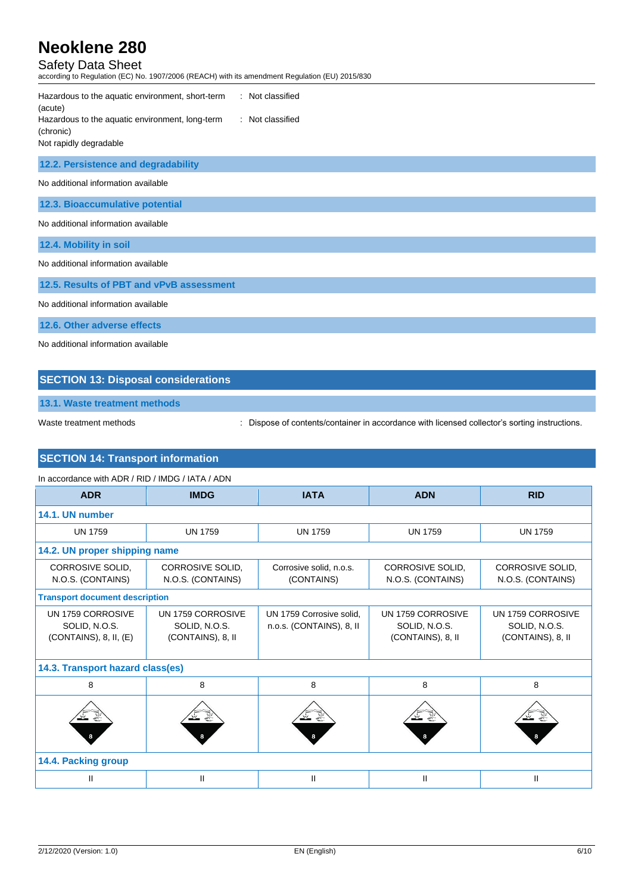# Safety Data Sheet

according to Regulation (EC) No. 1907/2006 (REACH) with its amendment Regulation (EU) 2015/830

| : Not classified<br>Hazardous to the aquatic environment, short-term<br>(acute)<br>: Not classified<br>Hazardous to the aquatic environment, long-term<br>(chronic)<br>Not rapidly degradable |
|-----------------------------------------------------------------------------------------------------------------------------------------------------------------------------------------------|
| 12.2. Persistence and degradability                                                                                                                                                           |
| No additional information available                                                                                                                                                           |
| 12.3. Bioaccumulative potential                                                                                                                                                               |
| No additional information available                                                                                                                                                           |
| 12.4. Mobility in soil                                                                                                                                                                        |
| No additional information available                                                                                                                                                           |
| 12.5. Results of PBT and vPvB assessment                                                                                                                                                      |
| No additional information available                                                                                                                                                           |
| 12.6. Other adverse effects                                                                                                                                                                   |

No additional information available

# **SECTION 13: Disposal considerations**

**13.1. Waste treatment methods**

Waste treatment methods : Dispose of contents/container in accordance with licensed collector's sorting instructions.

# **SECTION 14: Transport information**

## In accordance with ADR / RID / IMDG / IATA / ADN

| <b>ADR</b>                                                        | <b>IMDG</b>                                             | <b>IATA</b>                                          | <b>ADN</b>                                              | <b>RID</b>                                              |  |
|-------------------------------------------------------------------|---------------------------------------------------------|------------------------------------------------------|---------------------------------------------------------|---------------------------------------------------------|--|
| 14.1. UN number                                                   |                                                         |                                                      |                                                         |                                                         |  |
| <b>UN 1759</b>                                                    | <b>UN 1759</b>                                          | <b>UN 1759</b>                                       | <b>UN 1759</b>                                          | <b>UN 1759</b>                                          |  |
| 14.2. UN proper shipping name                                     |                                                         |                                                      |                                                         |                                                         |  |
| CORROSIVE SOLID,<br>N.O.S. (CONTAINS)                             | CORROSIVE SOLID.<br>N.O.S. (CONTAINS)                   | Corrosive solid, n.o.s.<br>(CONTAINS)                | <b>CORROSIVE SOLID.</b><br>N.O.S. (CONTAINS)            | CORROSIVE SOLID,<br>N.O.S. (CONTAINS)                   |  |
| <b>Transport document description</b>                             |                                                         |                                                      |                                                         |                                                         |  |
| UN 1759 CORROSIVE<br>SOLID, N.O.S.<br>$(CONTAINS)$ , 8, II, $(E)$ | UN 1759 CORROSIVE<br>SOLID, N.O.S.<br>(CONTAINS), 8, II | UN 1759 Corrosive solid.<br>n.o.s. (CONTAINS), 8, II | UN 1759 CORROSIVE<br>SOLID, N.O.S.<br>(CONTAINS), 8, II | UN 1759 CORROSIVE<br>SOLID, N.O.S.<br>(CONTAINS), 8, II |  |
| 14.3. Transport hazard class(es)                                  |                                                         |                                                      |                                                         |                                                         |  |
| 8                                                                 | 8                                                       | 8                                                    | 8                                                       | 8                                                       |  |
|                                                                   |                                                         |                                                      |                                                         |                                                         |  |
| 14.4. Packing group                                               |                                                         |                                                      |                                                         |                                                         |  |
| Ш                                                                 | Ш                                                       | Ш                                                    | Ш                                                       | Ш                                                       |  |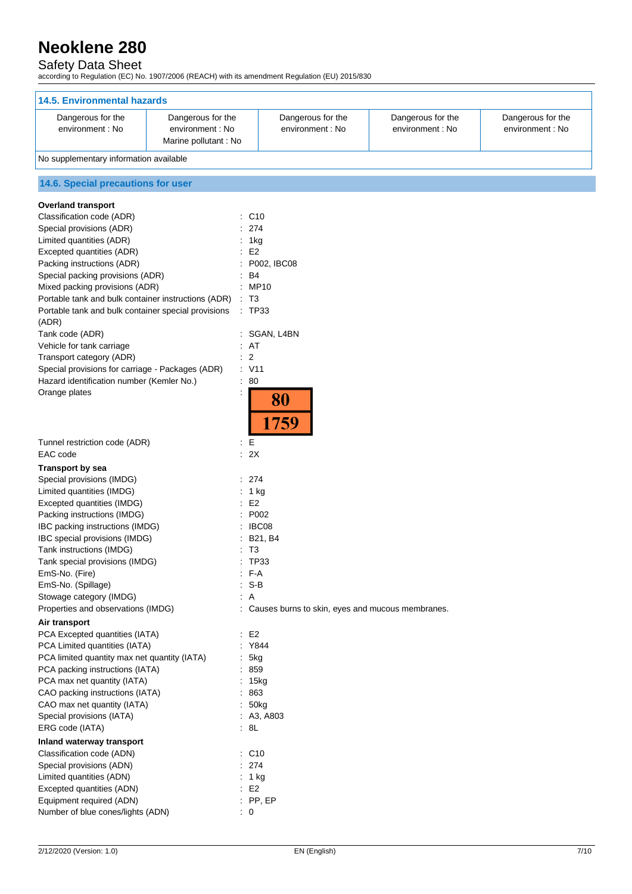## Safety Data Sheet

according to Regulation (EC) No. 1907/2006 (REACH) with its amendment Regulation (EU) 2015/830

| <b>14.5. Environmental hazards</b>                                                                      |                      |                                                    |                                       |                                       |  |
|---------------------------------------------------------------------------------------------------------|----------------------|----------------------------------------------------|---------------------------------------|---------------------------------------|--|
|                                                                                                         |                      |                                                    |                                       |                                       |  |
| Dangerous for the<br>Dangerous for the<br>environment : No<br>environment : No<br>Marine pollutant : No |                      | Dangerous for the<br>environment : No              | Dangerous for the<br>environment : No | Dangerous for the<br>environment : No |  |
| No supplementary information available                                                                  |                      |                                                    |                                       |                                       |  |
| 14.6. Special precautions for user                                                                      |                      |                                                    |                                       |                                       |  |
| <b>Overland transport</b>                                                                               |                      |                                                    |                                       |                                       |  |
| Classification code (ADR)                                                                               | C <sub>10</sub><br>÷ |                                                    |                                       |                                       |  |
| Special provisions (ADR)                                                                                | 274                  |                                                    |                                       |                                       |  |
| Limited quantities (ADR)                                                                                | 1kg                  |                                                    |                                       |                                       |  |
| Excepted quantities (ADR)                                                                               | E <sub>2</sub>       |                                                    |                                       |                                       |  |
| Packing instructions (ADR)                                                                              |                      | P002, IBC08                                        |                                       |                                       |  |
| Special packing provisions (ADR)<br>Mixed packing provisions (ADR)                                      | B4<br>: MP10         |                                                    |                                       |                                       |  |
| Portable tank and bulk container instructions (ADR)                                                     | $\therefore$ T3      |                                                    |                                       |                                       |  |
| Portable tank and bulk container special provisions                                                     | $\therefore$ TP33    |                                                    |                                       |                                       |  |
| (ADR)                                                                                                   |                      |                                                    |                                       |                                       |  |
| Tank code (ADR)                                                                                         |                      | : SGAN, L4BN                                       |                                       |                                       |  |
| Vehicle for tank carriage                                                                               | AT                   |                                                    |                                       |                                       |  |
| Transport category (ADR)                                                                                | $\therefore$ 2       |                                                    |                                       |                                       |  |
| Special provisions for carriage - Packages (ADR)                                                        | $\therefore$ V11     |                                                    |                                       |                                       |  |
| Hazard identification number (Kemler No.)                                                               | 80<br>÷              |                                                    |                                       |                                       |  |
| Orange plates                                                                                           |                      | 80<br>1759                                         |                                       |                                       |  |
| Tunnel restriction code (ADR)<br>EAC code                                                               | E<br>÷.<br>2X<br>÷   |                                                    |                                       |                                       |  |
| <b>Transport by sea</b>                                                                                 |                      |                                                    |                                       |                                       |  |
| Special provisions (IMDG)                                                                               | 274                  |                                                    |                                       |                                       |  |
| Limited quantities (IMDG)                                                                               | 1 kg                 |                                                    |                                       |                                       |  |
| Excepted quantities (IMDG)                                                                              | E <sub>2</sub>       |                                                    |                                       |                                       |  |
| Packing instructions (IMDG)                                                                             | P002                 |                                                    |                                       |                                       |  |
| IBC packing instructions (IMDG)                                                                         | IBC08                |                                                    |                                       |                                       |  |
| IBC special provisions (IMDG)<br>Tank instructions (IMDG)                                               | T <sub>3</sub>       | B21, B4                                            |                                       |                                       |  |
| Tank special provisions (IMDG)                                                                          | <b>TP33</b>          |                                                    |                                       |                                       |  |
| EmS-No. (Fire)                                                                                          | $: F-A$              |                                                    |                                       |                                       |  |
| EmS-No. (Spillage)                                                                                      | $S-B$                |                                                    |                                       |                                       |  |
| Stowage category (IMDG)                                                                                 | : A                  |                                                    |                                       |                                       |  |
| Properties and observations (IMDG)                                                                      |                      | : Causes burns to skin, eyes and mucous membranes. |                                       |                                       |  |
| Air transport                                                                                           |                      |                                                    |                                       |                                       |  |
| PCA Excepted quantities (IATA)                                                                          | $\div$ E2            |                                                    |                                       |                                       |  |
| PCA Limited quantities (IATA)                                                                           | : Y844               |                                                    |                                       |                                       |  |
| PCA limited quantity max net quantity (IATA)                                                            | 5kg                  |                                                    |                                       |                                       |  |
| PCA packing instructions (IATA)                                                                         | : 859                |                                                    |                                       |                                       |  |
| PCA max net quantity (IATA)<br>CAO packing instructions (IATA)                                          | : 15kg<br>: 863      |                                                    |                                       |                                       |  |
| CAO max net quantity (IATA)                                                                             | : 50kg               |                                                    |                                       |                                       |  |
| Special provisions (IATA)                                                                               |                      | : A3, A803                                         |                                       |                                       |  |
| ERG code (IATA)                                                                                         | $\cdot$ 8L           |                                                    |                                       |                                       |  |
| Inland waterway transport                                                                               |                      |                                                    |                                       |                                       |  |
| Classification code (ADN)                                                                               | $\therefore$ C10     |                                                    |                                       |                                       |  |
| Special provisions (ADN)                                                                                | : 274                |                                                    |                                       |                                       |  |
| Limited quantities (ADN)                                                                                | : 1 kg               |                                                    |                                       |                                       |  |
| Excepted quantities (ADN)                                                                               | $\therefore$ E2      |                                                    |                                       |                                       |  |
| Equipment required (ADN)                                                                                | $:$ PP, EP           |                                                    |                                       |                                       |  |
| Number of blue cones/lights (ADN)                                                                       | $\therefore$ 0       |                                                    |                                       |                                       |  |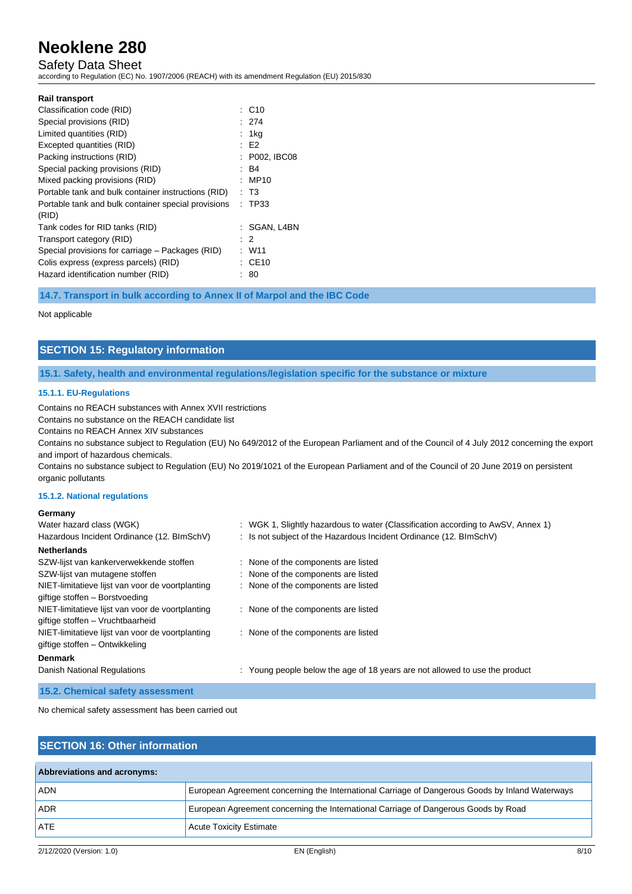# Safety Data Sheet

according to Regulation (EC) No. 1907/2006 (REACH) with its amendment Regulation (EU) 2015/830

| <b>Rail transport</b>                               |                   |
|-----------------------------------------------------|-------------------|
|                                                     |                   |
| Classification code (RID)                           | $\therefore$ C10  |
| Special provisions (RID)                            | : 274             |
| Limited quantities (RID)                            | : 1kg             |
| Excepted quantities (RID)                           | : E2              |
| Packing instructions (RID)                          | : P002, IBC08     |
| Special packing provisions (RID)                    | : B4              |
| Mixed packing provisions (RID)                      | : MP10            |
| Portable tank and bulk container instructions (RID) | : T3              |
| Portable tank and bulk container special provisions | : TP33            |
| (RID)                                               |                   |
| Tank codes for RID tanks (RID)                      | : SGAN, L4BN      |
| Transport category (RID)                            | $\cdot$ 2         |
| Special provisions for carriage – Packages (RID)    | : W11             |
| Colis express (express parcels) (RID)               | $\therefore$ CE10 |
| Hazard identification number (RID)                  | 80                |

**14.7. Transport in bulk according to Annex II of Marpol and the IBC Code**

### Not applicable

## **SECTION 15: Regulatory information**

## **15.1. Safety, health and environmental regulations/legislation specific for the substance or mixture**

### **15.1.1. EU-Regulations**

Contains no REACH substances with Annex XVII restrictions

Contains no substance on the REACH candidate list

Contains no REACH Annex XIV substances

Contains no substance subject to Regulation (EU) No 649/2012 of the European Parliament and of the Council of 4 July 2012 concerning the export and import of hazardous chemicals.

Contains no substance subject to Regulation (EU) No 2019/1021 of the European Parliament and of the Council of 20 June 2019 on persistent organic pollutants

## **15.1.2. National regulations**

### **Germany**

| Water hazard class (WGK)                         | : WGK 1, Slightly hazardous to water (Classification according to AwSV, Annex 1) |
|--------------------------------------------------|----------------------------------------------------------------------------------|
| Hazardous Incident Ordinance (12. BImSchV)       | : Is not subject of the Hazardous Incident Ordinance (12. BImSchV)               |
| <b>Netherlands</b>                               |                                                                                  |
| SZW-lijst van kankerverwekkende stoffen          | : None of the components are listed                                              |
| SZW-lijst van mutagene stoffen                   | : None of the components are listed                                              |
| NIET-limitatieve lijst van voor de voortplanting | : None of the components are listed                                              |
| giftige stoffen - Borstvoeding                   |                                                                                  |
| NIET-limitatieve lijst van voor de voortplanting | : None of the components are listed                                              |
| giftige stoffen - Vruchtbaarheid                 |                                                                                  |
| NIET-limitatieve lijst van voor de voortplanting | : None of the components are listed                                              |
| giftige stoffen - Ontwikkeling                   |                                                                                  |
| <b>Denmark</b>                                   |                                                                                  |
| Danish National Regulations                      | : Young people below the age of 18 years are not allowed to use the product      |

**15.2. Chemical safety assessment**

No chemical safety assessment has been carried out

## **SECTION 16: Other information**

| Abbreviations and acronyms: |                                                                                                 |
|-----------------------------|-------------------------------------------------------------------------------------------------|
| <b>ADN</b>                  | European Agreement concerning the International Carriage of Dangerous Goods by Inland Waterways |
| <b>ADR</b>                  | European Agreement concerning the International Carriage of Dangerous Goods by Road             |
| <b>ATE</b>                  | <b>Acute Toxicity Estimate</b>                                                                  |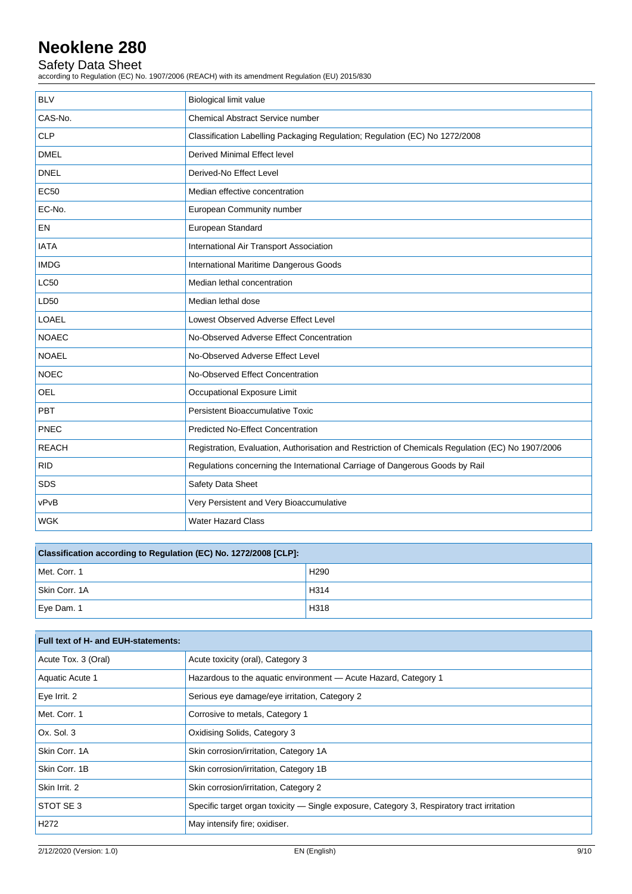# Safety Data Sheet

according to Regulation (EC) No. 1907/2006 (REACH) with its amendment Regulation (EU) 2015/830

| <b>BLV</b>   | Biological limit value                                                                            |
|--------------|---------------------------------------------------------------------------------------------------|
| CAS-No.      | <b>Chemical Abstract Service number</b>                                                           |
| <b>CLP</b>   | Classification Labelling Packaging Regulation; Regulation (EC) No 1272/2008                       |
| <b>DMEL</b>  | <b>Derived Minimal Effect level</b>                                                               |
| <b>DNEL</b>  | Derived-No Effect Level                                                                           |
| <b>EC50</b>  | Median effective concentration                                                                    |
| EC-No.       | European Community number                                                                         |
| EN           | European Standard                                                                                 |
| <b>IATA</b>  | International Air Transport Association                                                           |
| <b>IMDG</b>  | International Maritime Dangerous Goods                                                            |
| <b>LC50</b>  | Median lethal concentration                                                                       |
| LD50         | Median lethal dose                                                                                |
| LOAEL        | Lowest Observed Adverse Effect Level                                                              |
| <b>NOAEC</b> | No-Observed Adverse Effect Concentration                                                          |
| <b>NOAEL</b> | No-Observed Adverse Effect Level                                                                  |
| <b>NOEC</b>  | No-Observed Effect Concentration                                                                  |
| <b>OEL</b>   | Occupational Exposure Limit                                                                       |
| <b>PBT</b>   | Persistent Bioaccumulative Toxic                                                                  |
| PNEC         | <b>Predicted No-Effect Concentration</b>                                                          |
| <b>REACH</b> | Registration, Evaluation, Authorisation and Restriction of Chemicals Regulation (EC) No 1907/2006 |
| <b>RID</b>   | Regulations concerning the International Carriage of Dangerous Goods by Rail                      |
| <b>SDS</b>   | Safety Data Sheet                                                                                 |
| vPvB         | Very Persistent and Very Bioaccumulative                                                          |
| <b>WGK</b>   | <b>Water Hazard Class</b>                                                                         |

| Classification according to Regulation (EC) No. 1272/2008 [CLP]: |                  |  |
|------------------------------------------------------------------|------------------|--|
| Met. Corr. 1                                                     | H <sub>290</sub> |  |
| Skin Corr. 1A                                                    | H314             |  |
| Eye Dam. 1                                                       | H318             |  |

| Full text of H- and EUH-statements: |                                                                                            |
|-------------------------------------|--------------------------------------------------------------------------------------------|
| Acute Tox. 3 (Oral)                 | Acute toxicity (oral), Category 3                                                          |
| Aquatic Acute 1                     | Hazardous to the aquatic environment - Acute Hazard, Category 1                            |
| Eye Irrit. 2                        | Serious eye damage/eye irritation, Category 2                                              |
| Met. Corr. 1                        | Corrosive to metals, Category 1                                                            |
| Ox. Sol. 3                          | Oxidising Solids, Category 3                                                               |
| Skin Corr. 1A                       | Skin corrosion/irritation, Category 1A                                                     |
| Skin Corr. 1B                       | Skin corrosion/irritation, Category 1B                                                     |
| Skin Irrit. 2                       | Skin corrosion/irritation, Category 2                                                      |
| STOT SE 3                           | Specific target organ toxicity — Single exposure, Category 3, Respiratory tract irritation |
| H <sub>2</sub> 72                   | May intensify fire; oxidiser.                                                              |